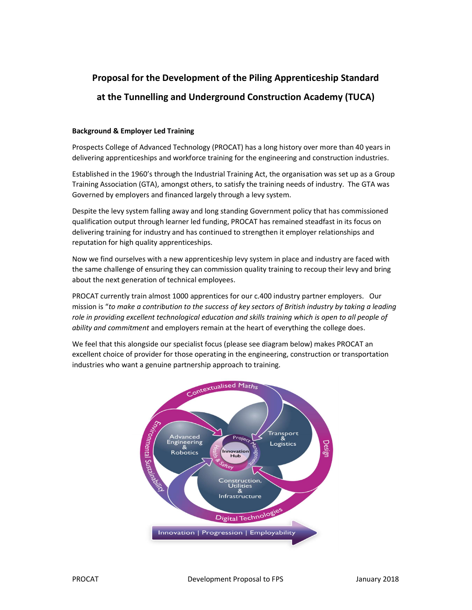## Proposal for the Development of the Piling Apprenticeship Standard at the Tunnelling and Underground Construction Academy (TUCA)

## Background & Employer Led Training

Prospects College of Advanced Technology (PROCAT) has a long history over more than 40 years in delivering apprenticeships and workforce training for the engineering and construction industries.

Established in the 1960's through the Industrial Training Act, the organisation was set up as a Group Training Association (GTA), amongst others, to satisfy the training needs of industry. The GTA was Governed by employers and financed largely through a levy system.

Despite the levy system falling away and long standing Government policy that has commissioned qualification output through learner led funding, PROCAT has remained steadfast in its focus on delivering training for industry and has continued to strengthen it employer relationships and reputation for high quality apprenticeships.

Now we find ourselves with a new apprenticeship levy system in place and industry are faced with the same challenge of ensuring they can commission quality training to recoup their levy and bring about the next generation of technical employees.

PROCAT currently train almost 1000 apprentices for our c.400 industry partner employers. Our mission is "to make a contribution to the success of key sectors of British industry by taking a leading role in providing excellent technological education and skills training which is open to all people of ability and commitment and employers remain at the heart of everything the college does.

We feel that this alongside our specialist focus (please see diagram below) makes PROCAT an excellent choice of provider for those operating in the engineering, construction or transportation industries who want a genuine partnership approach to training.

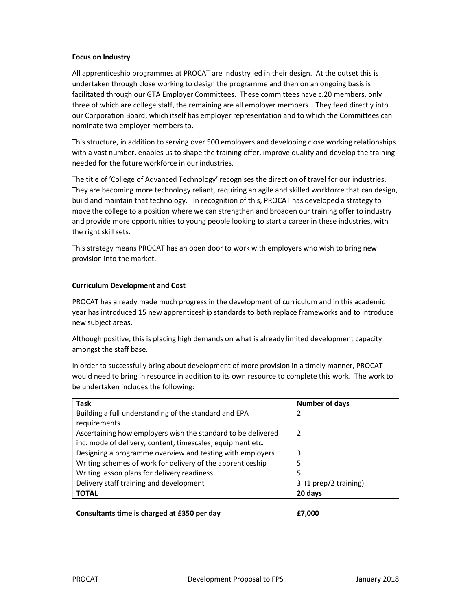## Focus on Industry

All apprenticeship programmes at PROCAT are industry led in their design. At the outset this is undertaken through close working to design the programme and then on an ongoing basis is facilitated through our GTA Employer Committees. These committees have c.20 members, only three of which are college staff, the remaining are all employer members. They feed directly into our Corporation Board, which itself has employer representation and to which the Committees can nominate two employer members to.

This structure, in addition to serving over 500 employers and developing close working relationships with a vast number, enables us to shape the training offer, improve quality and develop the training needed for the future workforce in our industries.

The title of 'College of Advanced Technology' recognises the direction of travel for our industries. They are becoming more technology reliant, requiring an agile and skilled workforce that can design, build and maintain that technology. In recognition of this, PROCAT has developed a strategy to move the college to a position where we can strengthen and broaden our training offer to industry and provide more opportunities to young people looking to start a career in these industries, with the right skill sets.

This strategy means PROCAT has an open door to work with employers who wish to bring new provision into the market.

## Curriculum Development and Cost

PROCAT has already made much progress in the development of curriculum and in this academic year has introduced 15 new apprenticeship standards to both replace frameworks and to introduce new subject areas.

Although positive, this is placing high demands on what is already limited development capacity amongst the staff base.

In order to successfully bring about development of more provision in a timely manner, PROCAT would need to bring in resource in addition to its own resource to complete this work. The work to be undertaken includes the following:

| <b>Task</b>                                                  | <b>Number of days</b> |
|--------------------------------------------------------------|-----------------------|
| Building a full understanding of the standard and EPA        | 2                     |
| requirements                                                 |                       |
| Ascertaining how employers wish the standard to be delivered | 2                     |
| inc. mode of delivery, content, timescales, equipment etc.   |                       |
| Designing a programme overview and testing with employers    | 3                     |
| Writing schemes of work for delivery of the apprenticeship   | 5                     |
| Writing lesson plans for delivery readiness                  | 5                     |
| Delivery staff training and development                      | 3 (1 prep/2 training) |
| <b>TOTAL</b>                                                 | 20 days               |
| Consultants time is charged at £350 per day                  | £7,000                |